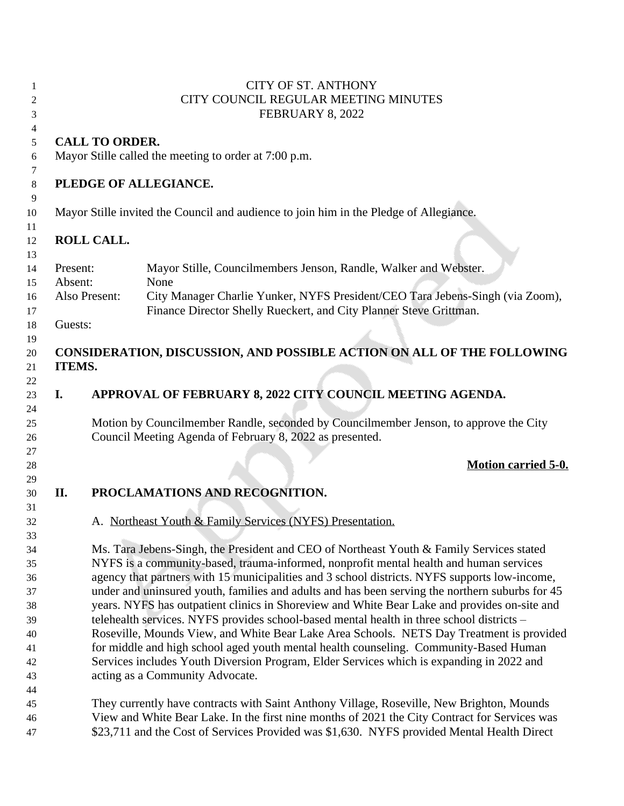| $\mathbf{1}$ | <b>CITY OF ST. ANTHONY</b> |                                                                                          |                                                                                                 |  |  |  |  |
|--------------|----------------------------|------------------------------------------------------------------------------------------|-------------------------------------------------------------------------------------------------|--|--|--|--|
| 2            |                            | CITY COUNCIL REGULAR MEETING MINUTES                                                     |                                                                                                 |  |  |  |  |
| 3            |                            | FEBRUARY 8, 2022                                                                         |                                                                                                 |  |  |  |  |
|              |                            |                                                                                          |                                                                                                 |  |  |  |  |
| 4            |                            |                                                                                          |                                                                                                 |  |  |  |  |
| 5            |                            | <b>CALL TO ORDER.</b>                                                                    |                                                                                                 |  |  |  |  |
| 6            |                            |                                                                                          | Mayor Stille called the meeting to order at 7:00 p.m.                                           |  |  |  |  |
| 7            |                            |                                                                                          |                                                                                                 |  |  |  |  |
| 8            |                            |                                                                                          | PLEDGE OF ALLEGIANCE.                                                                           |  |  |  |  |
| 9            |                            |                                                                                          |                                                                                                 |  |  |  |  |
| 10           |                            |                                                                                          | Mayor Stille invited the Council and audience to join him in the Pledge of Allegiance.          |  |  |  |  |
| 11           |                            |                                                                                          |                                                                                                 |  |  |  |  |
| 12           |                            | <b>ROLL CALL.</b>                                                                        |                                                                                                 |  |  |  |  |
|              |                            |                                                                                          |                                                                                                 |  |  |  |  |
| 13           |                            |                                                                                          |                                                                                                 |  |  |  |  |
| 14           | Present:                   |                                                                                          | Mayor Stille, Councilmembers Jenson, Randle, Walker and Webster.                                |  |  |  |  |
| 15           | Absent:                    |                                                                                          | None                                                                                            |  |  |  |  |
| 16           |                            | Also Present:                                                                            | City Manager Charlie Yunker, NYFS President/CEO Tara Jebens-Singh (via Zoom),                   |  |  |  |  |
| 17           |                            |                                                                                          | Finance Director Shelly Rueckert, and City Planner Steve Grittman.                              |  |  |  |  |
| 18           | Guests:                    |                                                                                          |                                                                                                 |  |  |  |  |
| 19           |                            |                                                                                          |                                                                                                 |  |  |  |  |
| 20           |                            |                                                                                          | CONSIDERATION, DISCUSSION, AND POSSIBLE ACTION ON ALL OF THE FOLLOWING                          |  |  |  |  |
| 21           | <b>ITEMS.</b>              |                                                                                          |                                                                                                 |  |  |  |  |
|              |                            |                                                                                          |                                                                                                 |  |  |  |  |
| 22           |                            |                                                                                          |                                                                                                 |  |  |  |  |
| 23           | I.                         |                                                                                          | APPROVAL OF FEBRUARY 8, 2022 CITY COUNCIL MEETING AGENDA.                                       |  |  |  |  |
| 24           |                            |                                                                                          |                                                                                                 |  |  |  |  |
| 25           |                            |                                                                                          | Motion by Councilmember Randle, seconded by Councilmember Jenson, to approve the City           |  |  |  |  |
| 26           |                            |                                                                                          | Council Meeting Agenda of February 8, 2022 as presented.                                        |  |  |  |  |
| 27           |                            |                                                                                          |                                                                                                 |  |  |  |  |
| 28           |                            |                                                                                          | <b>Motion carried 5-0.</b>                                                                      |  |  |  |  |
| 29           |                            |                                                                                          |                                                                                                 |  |  |  |  |
| 30           | II.                        |                                                                                          | PROCLAMATIONS AND RECOGNITION.                                                                  |  |  |  |  |
| 31           |                            |                                                                                          |                                                                                                 |  |  |  |  |
|              |                            |                                                                                          | A. Northeast Youth & Family Services (NYFS) Presentation.                                       |  |  |  |  |
| 32           |                            |                                                                                          |                                                                                                 |  |  |  |  |
| 33           |                            |                                                                                          |                                                                                                 |  |  |  |  |
| 34           |                            |                                                                                          | Ms. Tara Jebens-Singh, the President and CEO of Northeast Youth & Family Services stated        |  |  |  |  |
| 35           |                            |                                                                                          | NYFS is a community-based, trauma-informed, nonprofit mental health and human services          |  |  |  |  |
| 36           |                            |                                                                                          | agency that partners with 15 municipalities and 3 school districts. NYFS supports low-income,   |  |  |  |  |
| 37           |                            |                                                                                          | under and uninsured youth, families and adults and has been serving the northern suburbs for 45 |  |  |  |  |
| 38           |                            |                                                                                          | years. NYFS has outpatient clinics in Shoreview and White Bear Lake and provides on-site and    |  |  |  |  |
| 39           |                            |                                                                                          | telehealth services. NYFS provides school-based mental health in three school districts -       |  |  |  |  |
| 40           |                            | Roseville, Mounds View, and White Bear Lake Area Schools. NETS Day Treatment is provided |                                                                                                 |  |  |  |  |
|              |                            |                                                                                          | for middle and high school aged youth mental health counseling. Community-Based Human           |  |  |  |  |
| 41           |                            |                                                                                          |                                                                                                 |  |  |  |  |
| 42           |                            |                                                                                          | Services includes Youth Diversion Program, Elder Services which is expanding in 2022 and        |  |  |  |  |
| 43           |                            |                                                                                          | acting as a Community Advocate.                                                                 |  |  |  |  |
| 44           |                            |                                                                                          |                                                                                                 |  |  |  |  |
| 45           |                            |                                                                                          | They currently have contracts with Saint Anthony Village, Roseville, New Brighton, Mounds       |  |  |  |  |
| 46           |                            |                                                                                          | View and White Bear Lake. In the first nine months of 2021 the City Contract for Services was   |  |  |  |  |
| 47           |                            |                                                                                          | \$23,711 and the Cost of Services Provided was \$1,630. NYFS provided Mental Health Direct      |  |  |  |  |
|              |                            |                                                                                          |                                                                                                 |  |  |  |  |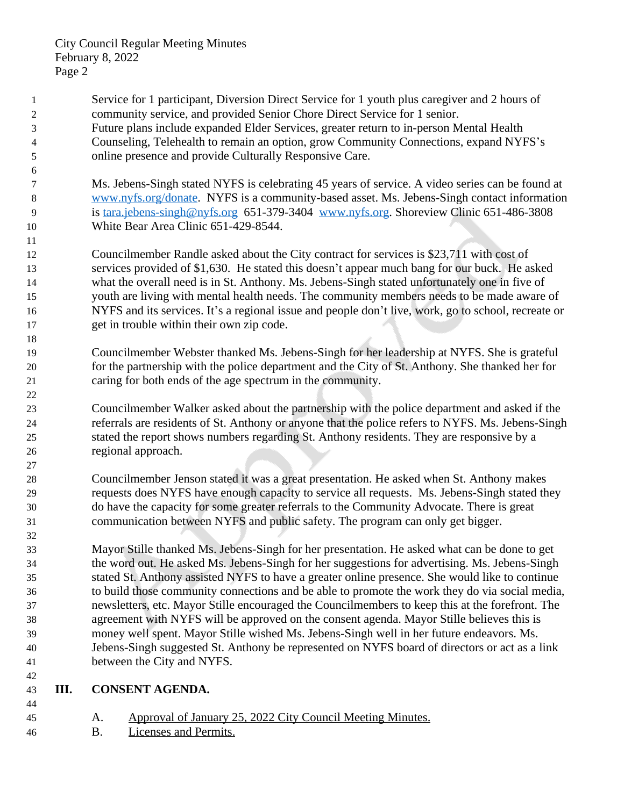- Service for 1 participant, Diversion Direct Service for 1 youth plus caregiver and 2 hours of community service, and provided Senior Chore Direct Service for 1 senior. Future plans include expanded Elder Services, greater return to in-person Mental Health Counseling, Telehealth to remain an option, grow Community Connections, expand NYFS's online presence and provide Culturally Responsive Care.
- Ms. Jebens-Singh stated NYFS is celebrating 45 years of service. A video series can be found at [www.nyfs.org/donate.](http://www.nyfs.org/donate) NYFS is a community-based asset. Ms. Jebens-Singh contact information is [tara.jebens-singh@nyfs.org](mailto:tara.jebens-singh@nyfs.org) 651-379-3404 [www.nyfs.org.](http://www.nyfs.org) Shoreview Clinic 651-486-3808 White Bear Area Clinic 651-429-8544.
- Councilmember Randle asked about the City contract for services is \$23,711 with cost of services provided of \$1,630. He stated this doesn't appear much bang for our buck. He asked what the overall need is in St. Anthony. Ms. Jebens-Singh stated unfortunately one in five of youth are living with mental health needs. The community members needs to be made aware of NYFS and its services. It's a regional issue and people don't live, work, go to school, recreate or get in trouble within their own zip code.
- Councilmember Webster thanked Ms. Jebens-Singh for her leadership at NYFS. She is grateful for the partnership with the police department and the City of St. Anthony. She thanked her for caring for both ends of the age spectrum in the community.
- Councilmember Walker asked about the partnership with the police department and asked if the referrals are residents of St. Anthony or anyone that the police refers to NYFS. Ms. Jebens-Singh stated the report shows numbers regarding St. Anthony residents. They are responsive by a regional approach.
- Councilmember Jenson stated it was a great presentation. He asked when St. Anthony makes requests does NYFS have enough capacity to service all requests. Ms. Jebens-Singh stated they do have the capacity for some greater referrals to the Community Advocate. There is great communication between NYFS and public safety. The program can only get bigger.
- Mayor Stille thanked Ms. Jebens-Singh for her presentation. He asked what can be done to get the word out. He asked Ms. Jebens-Singh for her suggestions for advertising. Ms. Jebens-Singh stated St. Anthony assisted NYFS to have a greater online presence. She would like to continue to build those community connections and be able to promote the work they do via social media, newsletters, etc. Mayor Stille encouraged the Councilmembers to keep this at the forefront. The agreement with NYFS will be approved on the consent agenda. Mayor Stille believes this is money well spent. Mayor Stille wished Ms. Jebens-Singh well in her future endeavors. Ms. Jebens-Singh suggested St. Anthony be represented on NYFS board of directors or act as a link between the City and NYFS.

## **III. CONSENT AGENDA.**

- A. Approval of January 25, 2022 City Council Meeting Minutes.
- B. Licenses and Permits.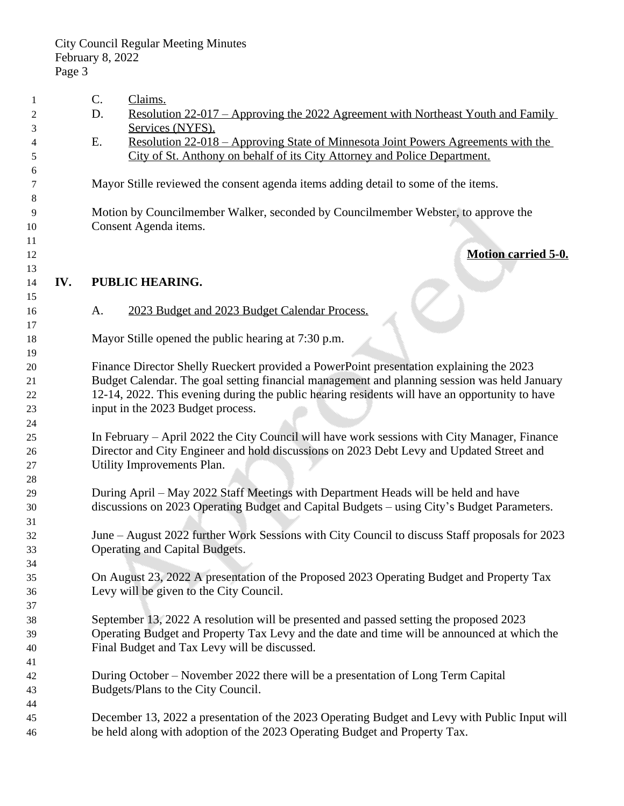| 1  |     | C.                                                                                | Claims.                                                                                        |  |
|----|-----|-----------------------------------------------------------------------------------|------------------------------------------------------------------------------------------------|--|
| 2  |     | D.                                                                                | <u>Resolution 22-017 – Approving the 2022 Agreement with Northeast Youth and Family</u>        |  |
| 3  |     |                                                                                   | Services (NYFS).                                                                               |  |
| 4  |     | Ε.                                                                                | <u> Resolution 22-018 – Approving State of Minnesota Joint Powers Agreements with the</u>      |  |
| 5  |     |                                                                                   | City of St. Anthony on behalf of its City Attorney and Police Department.                      |  |
| 6  |     |                                                                                   |                                                                                                |  |
| 7  |     |                                                                                   | Mayor Stille reviewed the consent agenda items adding detail to some of the items.             |  |
| 8  |     |                                                                                   |                                                                                                |  |
| 9  |     | Motion by Councilmember Walker, seconded by Councilmember Webster, to approve the |                                                                                                |  |
| 10 |     |                                                                                   | Consent Agenda items.                                                                          |  |
| 11 |     |                                                                                   |                                                                                                |  |
| 12 |     |                                                                                   | <b>Motion carried 5-0.</b>                                                                     |  |
| 13 |     |                                                                                   |                                                                                                |  |
| 14 | IV. |                                                                                   | PUBLIC HEARING.                                                                                |  |
| 15 |     |                                                                                   |                                                                                                |  |
| 16 |     | A.                                                                                | 2023 Budget and 2023 Budget Calendar Process.                                                  |  |
| 17 |     |                                                                                   |                                                                                                |  |
| 18 |     |                                                                                   | Mayor Stille opened the public hearing at 7:30 p.m.                                            |  |
| 19 |     |                                                                                   |                                                                                                |  |
| 20 |     |                                                                                   | Finance Director Shelly Rueckert provided a PowerPoint presentation explaining the 2023        |  |
| 21 |     |                                                                                   | Budget Calendar. The goal setting financial management and planning session was held January   |  |
| 22 |     |                                                                                   | 12-14, 2022. This evening during the public hearing residents will have an opportunity to have |  |
| 23 |     |                                                                                   | input in the 2023 Budget process.                                                              |  |
| 24 |     |                                                                                   |                                                                                                |  |
| 25 |     |                                                                                   | In February – April 2022 the City Council will have work sessions with City Manager, Finance   |  |
| 26 |     |                                                                                   | Director and City Engineer and hold discussions on 2023 Debt Levy and Updated Street and       |  |
| 27 |     |                                                                                   | Utility Improvements Plan.                                                                     |  |
| 28 |     |                                                                                   |                                                                                                |  |
| 29 |     |                                                                                   | During April – May 2022 Staff Meetings with Department Heads will be held and have             |  |
| 30 |     |                                                                                   | discussions on 2023 Operating Budget and Capital Budgets - using City's Budget Parameters.     |  |
| 31 |     |                                                                                   |                                                                                                |  |
| 32 |     |                                                                                   | June - August 2022 further Work Sessions with City Council to discuss Staff proposals for 2023 |  |
| 33 |     |                                                                                   | Operating and Capital Budgets.                                                                 |  |
| 34 |     |                                                                                   |                                                                                                |  |
| 35 |     |                                                                                   | On August 23, 2022 A presentation of the Proposed 2023 Operating Budget and Property Tax       |  |
| 36 |     |                                                                                   | Levy will be given to the City Council.                                                        |  |
| 37 |     |                                                                                   |                                                                                                |  |
| 38 |     |                                                                                   | September 13, 2022 A resolution will be presented and passed setting the proposed 2023         |  |
| 39 |     |                                                                                   | Operating Budget and Property Tax Levy and the date and time will be announced at which the    |  |
| 40 |     |                                                                                   | Final Budget and Tax Levy will be discussed.                                                   |  |
| 41 |     |                                                                                   |                                                                                                |  |
| 42 |     |                                                                                   | During October – November 2022 there will be a presentation of Long Term Capital               |  |
| 43 |     |                                                                                   | Budgets/Plans to the City Council.                                                             |  |
| 44 |     |                                                                                   |                                                                                                |  |
| 45 |     |                                                                                   | December 13, 2022 a presentation of the 2023 Operating Budget and Levy with Public Input will  |  |
| 46 |     |                                                                                   | be held along with adoption of the 2023 Operating Budget and Property Tax.                     |  |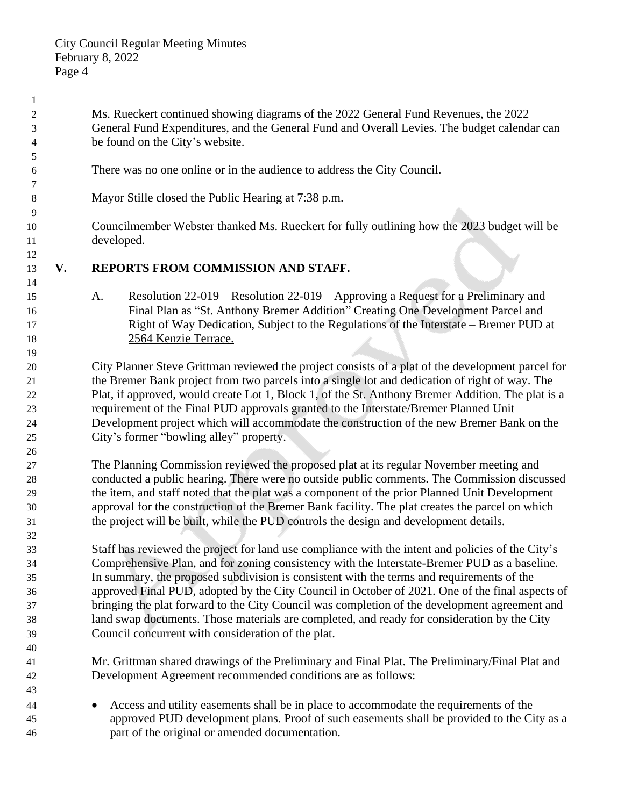Ms. Rueckert continued showing diagrams of the 2022 General Fund Revenues, the 2022 General Fund Expenditures, and the General Fund and Overall Levies. The budget calendar can be found on the City's website. There was no one online or in the audience to address the City Council. Mayor Stille closed the Public Hearing at 7:38 p.m. Councilmember Webster thanked Ms. Rueckert for fully outlining how the 2023 budget will be developed. **V. REPORTS FROM COMMISSION AND STAFF.** A. Resolution 22-019 – Resolution 22-019 – Approving a Request for a Preliminary and Final Plan as "St. Anthony Bremer Addition" Creating One Development Parcel and Right of Way Dedication, Subject to the Regulations of the Interstate – Bremer PUD at 18 2564 Kenzie Terrace. City Planner Steve Grittman reviewed the project consists of a plat of the development parcel for the Bremer Bank project from two parcels into a single lot and dedication of right of way. The Plat, if approved, would create Lot 1, Block 1, of the St. Anthony Bremer Addition. The plat is a requirement of the Final PUD approvals granted to the Interstate/Bremer Planned Unit Development project which will accommodate the construction of the new Bremer Bank on the City's former "bowling alley" property. The Planning Commission reviewed the proposed plat at its regular November meeting and conducted a public hearing. There were no outside public comments. The Commission discussed the item, and staff noted that the plat was a component of the prior Planned Unit Development approval for the construction of the Bremer Bank facility. The plat creates the parcel on which the project will be built, while the PUD controls the design and development details. Staff has reviewed the project for land use compliance with the intent and policies of the City's Comprehensive Plan, and for zoning consistency with the Interstate-Bremer PUD as a baseline. In summary, the proposed subdivision is consistent with the terms and requirements of the approved Final PUD, adopted by the City Council in October of 2021. One of the final aspects of bringing the plat forward to the City Council was completion of the development agreement and land swap documents. Those materials are completed, and ready for consideration by the City Council concurrent with consideration of the plat. Mr. Grittman shared drawings of the Preliminary and Final Plat. The Preliminary/Final Plat and Development Agreement recommended conditions are as follows: Access and utility easements shall be in place to accommodate the requirements of the approved PUD development plans. Proof of such easements shall be provided to the City as a part of the original or amended documentation.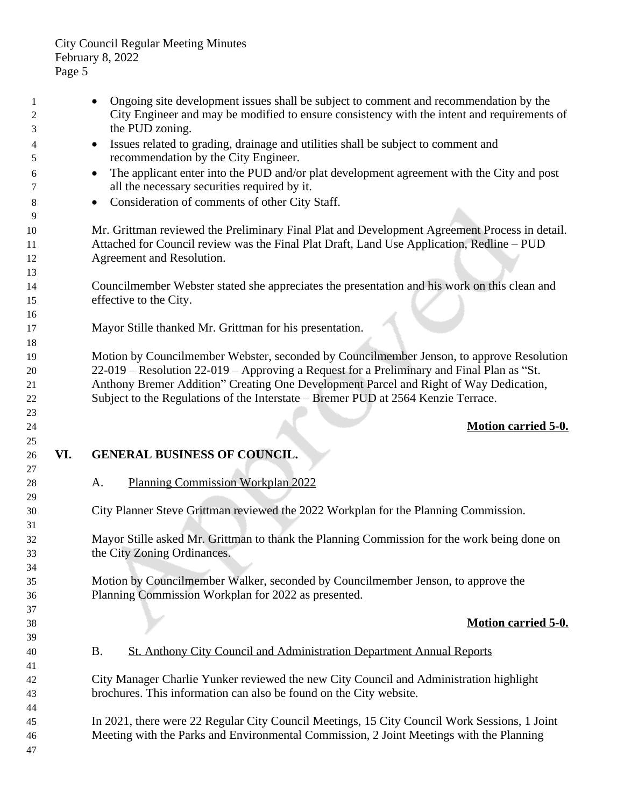1 • Ongoing site development issues shall be subject to comment and recommendation by the City Engineer and may be modified to ensure consistency with the intent and requirements of the PUD zoning. Issues related to grading, drainage and utilities shall be subject to comment and recommendation by the City Engineer. The applicant enter into the PUD and/or plat development agreement with the City and post all the necessary securities required by it. **Consideration of comments of other City Staff.**  Mr. Grittman reviewed the Preliminary Final Plat and Development Agreement Process in detail. Attached for Council review was the Final Plat Draft, Land Use Application, Redline – PUD Agreement and Resolution. Councilmember Webster stated she appreciates the presentation and his work on this clean and effective to the City. Mayor Stille thanked Mr. Grittman for his presentation. Motion by Councilmember Webster, seconded by Councilmember Jenson, to approve Resolution 22-019 – Resolution 22-019 – Approving a Request for a Preliminary and Final Plan as "St. Anthony Bremer Addition" Creating One Development Parcel and Right of Way Dedication, Subject to the Regulations of the Interstate – Bremer PUD at 2564 Kenzie Terrace. **Motion carried 5-0. VI. GENERAL BUSINESS OF COUNCIL.** A. Planning Commission Workplan 2022 City Planner Steve Grittman reviewed the 2022 Workplan for the Planning Commission. Mayor Stille asked Mr. Grittman to thank the Planning Commission for the work being done on the City Zoning Ordinances. Motion by Councilmember Walker, seconded by Councilmember Jenson, to approve the Planning Commission Workplan for 2022 as presented. **Motion carried 5-0.** B. St. Anthony City Council and Administration Department Annual Reports City Manager Charlie Yunker reviewed the new City Council and Administration highlight brochures. This information can also be found on the City website. In 2021, there were 22 Regular City Council Meetings, 15 City Council Work Sessions, 1 Joint Meeting with the Parks and Environmental Commission, 2 Joint Meetings with the Planning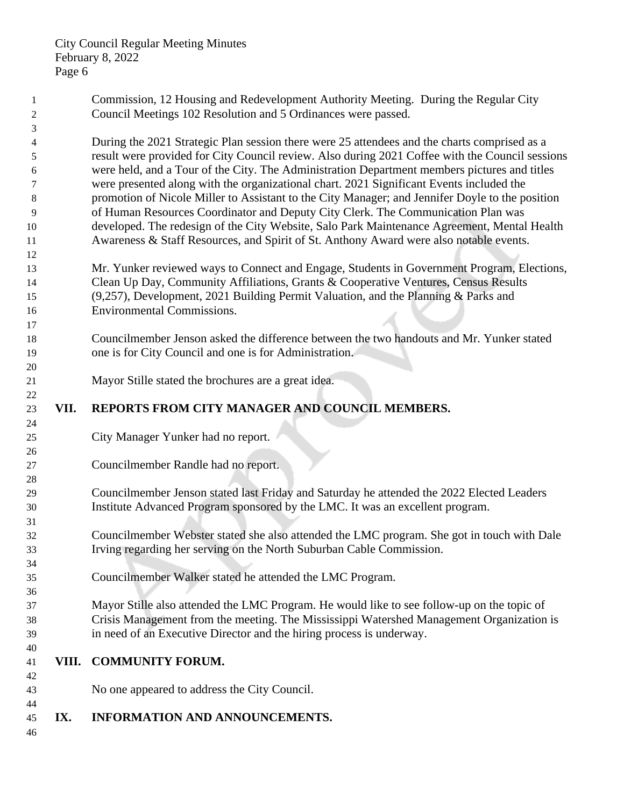| -1<br>2        |       | Commission, 12 Housing and Redevelopment Authority Meeting. During the Regular City<br>Council Meetings 102 Resolution and 5 Ordinances were passed. |
|----------------|-------|------------------------------------------------------------------------------------------------------------------------------------------------------|
| 3              |       |                                                                                                                                                      |
| $\overline{4}$ |       | During the 2021 Strategic Plan session there were 25 attendees and the charts comprised as a                                                         |
| 5              |       | result were provided for City Council review. Also during 2021 Coffee with the Council sessions                                                      |
| 6              |       | were held, and a Tour of the City. The Administration Department members pictures and titles                                                         |
| 7              |       | were presented along with the organizational chart. 2021 Significant Events included the                                                             |
| 8              |       | promotion of Nicole Miller to Assistant to the City Manager; and Jennifer Doyle to the position                                                      |
| 9              |       | of Human Resources Coordinator and Deputy City Clerk. The Communication Plan was                                                                     |
| 10             |       | developed. The redesign of the City Website, Salo Park Maintenance Agreement, Mental Health                                                          |
| 11<br>12       |       | Awareness & Staff Resources, and Spirit of St. Anthony Award were also notable events.                                                               |
|                |       | Mr. Yunker reviewed ways to Connect and Engage, Students in Government Program, Elections,                                                           |
| 13<br>14       |       | Clean Up Day, Community Affiliations, Grants & Cooperative Ventures, Census Results                                                                  |
| 15             |       | (9,257), Development, 2021 Building Permit Valuation, and the Planning & Parks and                                                                   |
| 16             |       | <b>Environmental Commissions.</b>                                                                                                                    |
| 17             |       |                                                                                                                                                      |
| 18             |       | Councilmember Jenson asked the difference between the two handouts and Mr. Yunker stated                                                             |
| 19             |       | one is for City Council and one is for Administration.                                                                                               |
| 20             |       |                                                                                                                                                      |
| 21             |       | Mayor Stille stated the brochures are a great idea.                                                                                                  |
| 22             |       |                                                                                                                                                      |
| 23             | VII.  | REPORTS FROM CITY MANAGER AND COUNCIL MEMBERS.                                                                                                       |
| 24             |       |                                                                                                                                                      |
| 25             |       | City Manager Yunker had no report.                                                                                                                   |
| 26             |       |                                                                                                                                                      |
| 27             |       | Councilmember Randle had no report.                                                                                                                  |
| 28             |       |                                                                                                                                                      |
| 29             |       | Councilmember Jenson stated last Friday and Saturday he attended the 2022 Elected Leaders                                                            |
| 30             |       | Institute Advanced Program sponsored by the LMC. It was an excellent program.                                                                        |
| 31             |       |                                                                                                                                                      |
| 32             |       | Councilmember Webster stated she also attended the LMC program. She got in touch with Dale                                                           |
| 33             |       | Irving regarding her serving on the North Suburban Cable Commission.                                                                                 |
| 34             |       |                                                                                                                                                      |
| 35             |       | Councilmember Walker stated he attended the LMC Program.                                                                                             |
| 36             |       |                                                                                                                                                      |
| 37             |       | Mayor Stille also attended the LMC Program. He would like to see follow-up on the topic of                                                           |
| 38             |       | Crisis Management from the meeting. The Mississippi Watershed Management Organization is                                                             |
| 39             |       | in need of an Executive Director and the hiring process is underway.                                                                                 |
| 40             | VIII. | <b>COMMUNITY FORUM.</b>                                                                                                                              |
| 41<br>42       |       |                                                                                                                                                      |
| 43             |       | No one appeared to address the City Council.                                                                                                         |
| 44             |       |                                                                                                                                                      |
| 45             | IX.   | <b>INFORMATION AND ANNOUNCEMENTS.</b>                                                                                                                |
| 46             |       |                                                                                                                                                      |